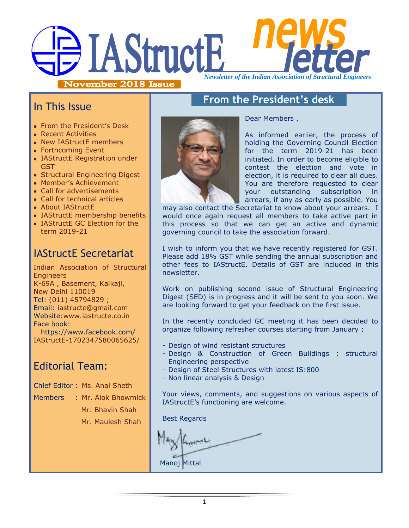# HAStructE *Newsletter of the Indian Association of Structural Engineers*

November 2018 Issue

## In This Issue

- From the President's Desk
- Recent Activities
- New IAStructE members
- Forthcoming Event
- IAStructE Registration under GST
- Structural Engineering Digest
- Member's Achievement
- Call for advertisements
- Call for technical articles
- About IAStructE
- IAStructE membership benefits
- IAStructE GC Election for the term 2019-21

# IAStructE Secretariat

Indian Association of Structural **Engineers** K-69A , Basement, Kalkaji, New Delhi 110019 Tel: (011) 45794829 ; Email: iastructe@gmail.com Website[:www.iastructe.co.in](http://www.iastructe.co.in/) Face book: [https://www.facebook.com/](https://www.facebook.com/%20IAStructE-1702347580065625/)  [IAStructE-1702347580065625/](https://www.facebook.com/%20IAStructE-1702347580065625/)

# Editorial Team:

Chief Editor : Ms. Anal Sheth

Members : Mr. Alok Bhowmick

Mr. Bhavin Shah

Mr. Maulesh Shah



# **From the President's desk**

Dear Members ,

As informed earlier, the process of holding the Governing Council Election for the term 2019-21 has been initiated. In order to become eligible to contest the election and vote in election, it is required to clear all dues. You are therefore requested to clear your outstanding subscription in arrears, if any as early as possible. You

may also contact the Secretariat to know about your arrears. I would once again request all members to take active part in this process so that we can get an active and dynamic governing council to take the association forward.

I wish to inform you that we have recently registered for GST. Please add 18% GST while sending the annual subscription and other fees to IAStructE. Details of GST are included in this newsletter.

Work on publishing second issue of Structural Engineering Digest (SED) is in progress and it will be sent to you soon. We are looking forward to get your feedback on the first issue.

In the recently concluded GC meeting it has been decided to organize following refresher courses starting from January :

- Design of wind resistant structures
- Design & Construction of Green Buildings : structural Engineering perspective
- Design of Steel Structures with latest IS:800
- Non linear analysis & Design

Your views, comments, and suggestions on various aspects of IAStructE"s functioning are welcome.

Best Regards

Manoj Mittal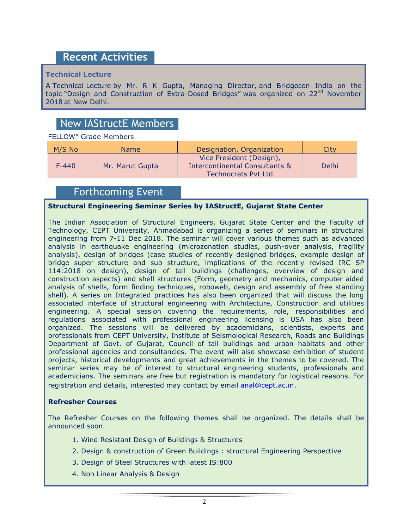## **Recent Activities**

#### **Technical Lecture**

A Technical Lecture by Mr. R K Gupta, Managing Director, and Bridgecon India on the topic "Design and Construction of Extra-Dosed Bridges" was organized on  $22^{nd}$  November 2018 at New Delhi.

## New IAStructE Members

#### FELLOW" Grade Members

| M/S No    | <b>Name</b>     | Designation, Organization                                                                           | City  |
|-----------|-----------------|-----------------------------------------------------------------------------------------------------|-------|
| $F - 440$ | Mr. Marut Gupta | Vice President (Design),<br><b>Intercontinental Consultants &amp;</b><br><b>Technocrats Pyt Ltd</b> | Delhi |

## Forthcoming Event

#### **Structural Engineering Seminar Series by IAStructE, Gujarat State Center**

The Indian Association of Structural Engineers, Gujarat State Center and the Faculty of Technology, CEPT University, Ahmadabad is organizing a series of seminars in structural engineering from 7-11 Dec 2018. The seminar will cover various themes such as advanced analysis in earthquake engineering (microzonation studies, push-over analysis, fragility analysis), design of bridges (case studies of recently designed bridges, example design of bridge super structure and sub structure, implications of the recently revised IRC SP 114:2018 on design), design of tall buildings (challenges, overview of design and construction aspects) and shell structures (Form, geometry and mechanics, computer aided analysis of shells, form finding techniques, roboweb, design and assembly of free standing shell). A series on Integrated practices has also been organized that will discuss the long associated interface of structural engineering with Architecture, Construction and utilities engineering. A special session covering the requirements, role, responsibilities and regulations associated with professional engineering licensing is USA has also been organized. The sessions will be delivered by academicians, scientists, experts and professionals from CEPT University, Institute of Seismological Research, Roads and Buildings Department of Govt. of Gujarat, Council of tall buildings and urban habitats and other professional agencies and consultancies. The event will also showcase exhibition of student projects, historical developments and great achievements in the themes to be covered. The seminar series may be of interest to structural engineering students, professionals and academicians. The seminars are free but registration is mandatory for logistical reasons. For registration and details, interested may contact by email [anal@cept.ac.in.](mailto:anal@cept.ac.in)

#### **Refresher Courses**

The Refresher Courses on the following themes shall be organized. The details shall be announced soon.

- 1. Wind Resistant Design of Buildings & Structures
- 2. Design & construction of Green Buildings : structural Engineering Perspective
- 3. Design of Steel Structures with latest IS:800
- 4. Non Linear Analysis & Design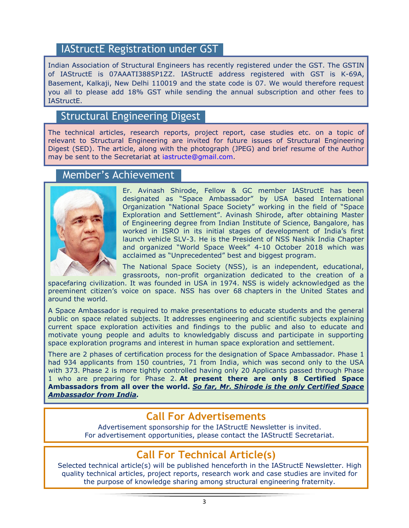## IAStructE Registration under GST

Indian Association of Structural Engineers has recently registered under the GST. The GSTIN of IAStructE is 07AAATI3885P1ZZ. IAStructE address registered with GST is K-69A, Basement, Kalkaji, New Delhi 110019 and the state code is 07. We would therefore request you all to please add 18% GST while sending the annual subscription and other fees to IAStructE.

### Structural Engineering Digest

The technical articles, research reports, project report, case studies etc. on a topic of relevant to Structural Engineering are invited for future issues of Structural Engineering Digest (SED). The article, along with the photograph (JPEG) and brief resume of the Author may be sent to the Secretariat at [iastructe@gmail.com.](mailto:iastructe@gmail.com)

#### Member's Achievement



Er. Avinash Shirode, Fellow & GC member IAStructE has been designated as "Space Ambassador" by USA based International Organization "National Space Society" working in the field of "Space Exploration and Settlement". Avinash Shirode, after obtaining Master of Engineering degree from Indian Institute of Science, Bangalore, has worked in ISRO in its initial stages of development of India's first launch vehicle SLV-3. He is the President of NSS Nashik India Chapter and organized "World Space Week" 4-10 October 2018 which was acclaimed as "Unprecedented" best and biggest program.

The National Space Society (NSS), is an independent, educational, grassroots, non-profit organization dedicated to the creation of a

spacefaring civilization. It was founded in USA in 1974. NSS is widely acknowledged as the preeminent citizen"s voice on space. NSS has over 68 chapters in the United States and around the world.

A Space Ambassador is required to make presentations to educate students and the general public on space related subjects. It addresses engineering and scientific subjects explaining current space exploration activities and findings to the public and also to educate and motivate young people and adults to knowledgably discuss and participate in supporting space exploration programs and interest in human space exploration and settlement.

There are 2 phases of certification process for the designation of Space Ambassador. Phase 1 had 934 applicants from 150 countries, 71 from India, which was second only to the USA with 373. Phase 2 is more tightly controlled having only 20 Applicants passed through Phase 1 who are preparing for Phase 2. **At present there are only 8 Certified Space Ambassadors from all over the world.** *So far, Mr. Shirode is the only Certified Space Ambassador from India.*

## **Call For Advertisements**

Advertisement sponsorship for the IAStructE Newsletter is invited. For advertisement opportunities, please contact the IAStructE Secretariat.

# **Call For Technical Article(s)**

Selected technical article(s) will be published henceforth in the IAStructE Newsletter. High quality technical articles, project reports, research work and case studies are invited for the purpose of knowledge sharing among structural engineering fraternity.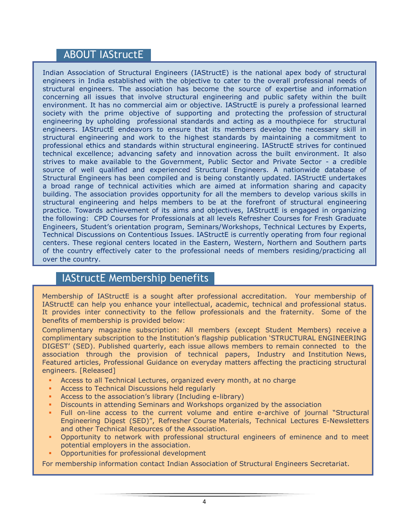## ABOUT IAStructE

Indian Association of Structural Engineers (IAStructE) is the national apex body of structural engineers in India established with the objective to cater to the overall professional needs of structural engineers. The association has become the source of expertise and information concerning all issues that involve structural engineering and public safety within the built environment. It has no commercial aim or objective. IAStructE is purely a professional learned society with the prime objective of supporting and protecting the profession of structural engineering by upholding professional standards and acting as a mouthpiece for structural engineers. IAStructE endeavors to ensure that its members develop the necessary skill in structural engineering and work to the highest standards by maintaining a commitment to professional ethics and standards within structural engineering. IAStructE strives for continued technical excellence; advancing safety and innovation across the built environment. It also strives to make available to the Government, Public Sector and Private Sector - a credible source of well qualified and experienced Structural Engineers. A nationwide database of Structural Engineers has been compiled and is being constantly updated. IAStructE undertakes a broad range of technical activities which are aimed at information sharing and capacity building. The association provides opportunity for all the members to develop various skills in structural engineering and helps members to be at the forefront of structural engineering practice. Towards achievement of its aims and objectives, IAStructE is engaged in organizing the following: CPD Courses for Professionals at all levels Refresher Courses for Fresh Graduate Engineers, Student"s orientation program, Seminars/Workshops, Technical Lectures by Experts, Technical Discussions on Contentious Issues. IAStructE is currently operating from four regional centers. These regional centers located in the Eastern, Western, Northern and Southern parts of the country effectively cater to the professional needs of members residing/practicing all over the country.

## IAStructE Membership benefits

Membership of IAStructE is a sought after professional accreditation. Your membership of IAStructE can help you enhance your intellectual, academic, technical and professional status. It provides inter connectivity to the fellow professionals and the fraternity. Some of the benefits of membership is provided below:

Complimentary magazine subscription: All members (except Student Members) receive a complimentary subscription to the Institution"s flagship publication "STRUCTURAL ENGINEERING DIGEST" (SED). Published quarterly, each issue allows members to remain connected to the association through the provision of technical papers, Industry and Institution News, Featured articles, Professional Guidance on everyday matters affecting the practicing structural engineers. [Released]

- Access to all Technical Lectures, organized every month, at no charge
- Access to Technical Discussions held regularly
- Access to the association"s library (Including e-library)
- Discounts in attending Seminars and Workshops organized by the association
- Full on-line access to the current volume and entire e-archive of journal "Structural Engineering Digest (SED)", Refresher Course Materials, Technical Lectures E-Newsletters and other Technical Resources of the Association.
- Opportunity to network with professional structural engineers of eminence and to meet potential employers in the association.
- Opportunities for professional development

For membership information contact Indian Association of Structural Engineers Secretariat.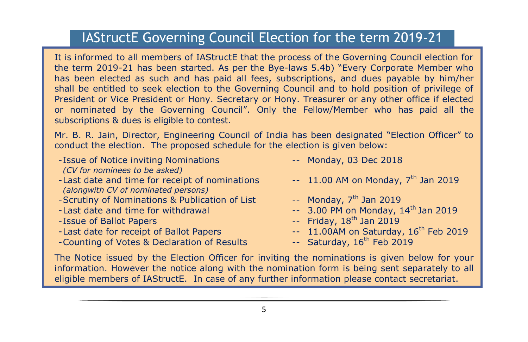## IAStructE Governing Council Election for the term 2019-21

It is informed to all members of IAStructE that the process of the Governing Council election for the term 2019-21 has been started. As per the Bye-laws 5.4b) "Every Corporate Member who has been elected as such and has paid all fees, subscriptions, and dues payable by him/her shall be entitled to seek election to the Governing Council and to hold position of privilege of President or Vice President or Hony. Secretary or Hony. Treasurer or any other office if elected or nominated by the Governing Council". Only the Fellow/Member who has paid all the subscriptions & dues is eligible to contest.

Mr. B. R. Jain, Director, Engineering Council of India has been designated "Election Officer" to conduct the election. The proposed schedule for the election is given below:

- -Issue of Notice inviting Nominations -- Monday, 03 Dec 2018 *(CV for nominees to be asked)*
- -Last date and time for receipt of nominations  $-11.00$  AM on Monday,  $7<sup>th</sup>$  Jan 2019 *(alongwith CV of nominated persons)*
- -Scrutiny of Nominations & Publication of List  $\cdot$  -- Monday,  $7<sup>th</sup>$  Jan 2019
- 
- 
- 
- -Counting of Votes & Declaration of Results -- Saturday, 16<sup>th</sup> Feb 2019
- 
- 
- 
- -Last date and time for withdrawal  $-$  3.00 PM on Monday,  $14<sup>th</sup>$  Jan 2019
- -Issue of Ballot Papers -- Friday, 18th Jan 2019
- -Last date for receipt of Ballot Papers  $-11.00$ AM on Saturday,  $16^{th}$  Feb 2019
	-

The Notice issued by the Election Officer for inviting the nominations is given below for your information. However the notice along with the nomination form is being sent separately to all eligible members of IAStructE. In case of any further information please contact secretariat.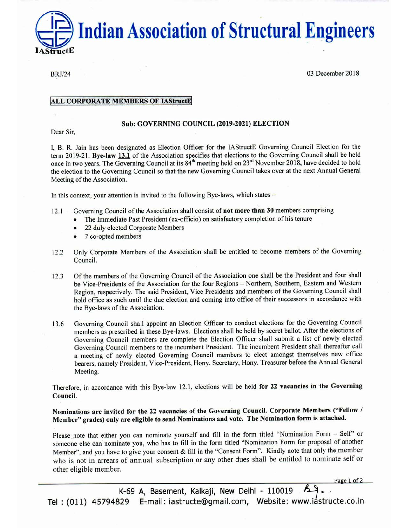**Indian Association of Structural Engineers** 

**BRJ/24** 

03 December 2018

Page 1 of 2

#### **ALL CORPORATE MEMBERS OF IAStructE**

#### **Sub: GOVERNING COUNCIL (2019-2021) ELECTION**

Dear Sir,

I, B. R. Jain has been designated as Election Officer for the IAStructE Governing Council Election for the term 2019-21. Bye-law 13.1 of the Association specifies that elections to the Governing Council shall be held once in two years. The Governing Council at its 84<sup>th</sup> meeting held on 23<sup>rd</sup> November 2018, have decided to hold the election to the Governing Council so that the new Governing Council takes over at the next Annual General Meeting of the Association.

In this context, your attention is invited to the following Bye-laws, which states –

- Governing Council of the Association shall consist of not more than 30 members comprising  $12.1$ 
	- The Immediate Past President (ex-officio) on satisfactory completion of his tenure
	- 22 duly elected Corporate Members
	- 7 co-opted members  $\bullet$
- Only Corporate Members of the Association shall be entitled to become members of the Governing  $12.2$ Council.
- Of the members of the Governing Council of the Association one shall be the President and four shall  $12.3$ be Vice-Presidents of the Association for the four Regions - Northern, Southern, Eastern and Western Region, respectively. The said President, Vice Presidents and members of the Governing Council shall hold office as such until the due election and coming into office of their successors in accordance with the Bye-laws of the Association.
- Governing Council shall appoint an Election Officer to conduct elections for the Governing Council 13.6 members as prescribed in these Bye-laws. Elections shall be held by secret ballot. After the elections of Governing Council members are complete the Election Officer shall submit a list of newly elected Governing Council members to the incumbent President. The incumbent President shall thereafter call a meeting of newly elected Governing Council members to elect amongst themselves new office bearers, namely President, Vice-President, Hony. Secretary, Hony. Treasurer before the Annual General Meeting.

Therefore, in accordance with this Bye-law 12.1, elections will be held for 22 vacancies in the Governing Council.

Nominations are invited for the 22 vacancies of the Governing Council. Corporate Members ("Fellow / Member" grades) only are eligible to send Nominations and vote. The Nomination form is attached.

Please note that either you can nominate yourself and fill in the form titled "Nomination Form - Self" or someone else can nominate you, who has to fill in the form titled "Nomination Form for proposal of another Member", and you have to give your consent & fill in the "Consent Form". Kindly note that only the member who is not in arrears of annual subscription or any other dues shall be entitled to nominate self or other eligible member.

K-69 A, Basement, Kalkaji, New Delhi - 110019 Tel: (011) 45794829 E-mail: iastructe@gmail.com, Website: www.iastructe.co.in